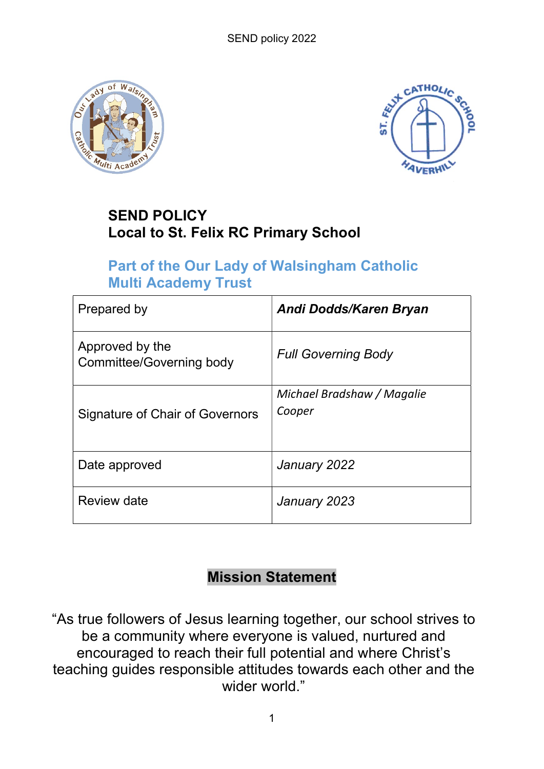



# SEND POLICY Local to St. Felix RC Primary School

# Part of the Our Lady of Walsingham Catholic Multi Academy Trust

| Prepared by                                 | Andi Dodds/Karen Bryan               |
|---------------------------------------------|--------------------------------------|
| Approved by the<br>Committee/Governing body | <b>Full Governing Body</b>           |
| Signature of Chair of Governors             | Michael Bradshaw / Magalie<br>Cooper |
| Date approved                               | January 2022                         |
| Review date                                 | January 2023                         |

# Mission Statement

"As true followers of Jesus learning together, our school strives to be a community where everyone is valued, nurtured and encouraged to reach their full potential and where Christ's teaching guides responsible attitudes towards each other and the wider world."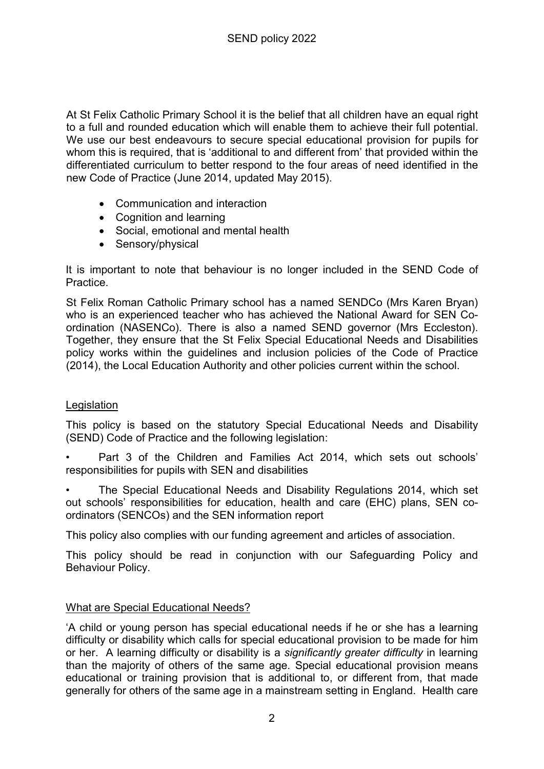At St Felix Catholic Primary School it is the belief that all children have an equal right to a full and rounded education which will enable them to achieve their full potential. We use our best endeavours to secure special educational provision for pupils for whom this is required, that is 'additional to and different from' that provided within the differentiated curriculum to better respond to the four areas of need identified in the new Code of Practice (June 2014, updated May 2015).

- Communication and interaction
- Cognition and learning
- Social, emotional and mental health
- Sensory/physical

It is important to note that behaviour is no longer included in the SEND Code of Practice.

St Felix Roman Catholic Primary school has a named SENDCo (Mrs Karen Bryan) who is an experienced teacher who has achieved the National Award for SEN Coordination (NASENCo). There is also a named SEND governor (Mrs Eccleston). Together, they ensure that the St Felix Special Educational Needs and Disabilities policy works within the guidelines and inclusion policies of the Code of Practice (2014), the Local Education Authority and other policies current within the school.

# **Legislation**

This policy is based on the statutory Special Educational Needs and Disability (SEND) Code of Practice and the following legislation:

- Part 3 of the Children and Families Act 2014, which sets out schools' responsibilities for pupils with SEN and disabilities
- The Special Educational Needs and Disability Regulations 2014, which set out schools' responsibilities for education, health and care (EHC) plans, SEN coordinators (SENCOs) and the SEN information report

This policy also complies with our funding agreement and articles of association.

This policy should be read in conjunction with our Safeguarding Policy and Behaviour Policy.

# What are Special Educational Needs?

'A child or young person has special educational needs if he or she has a learning difficulty or disability which calls for special educational provision to be made for him or her. A learning difficulty or disability is a significantly greater difficulty in learning than the majority of others of the same age. Special educational provision means educational or training provision that is additional to, or different from, that made generally for others of the same age in a mainstream setting in England. Health care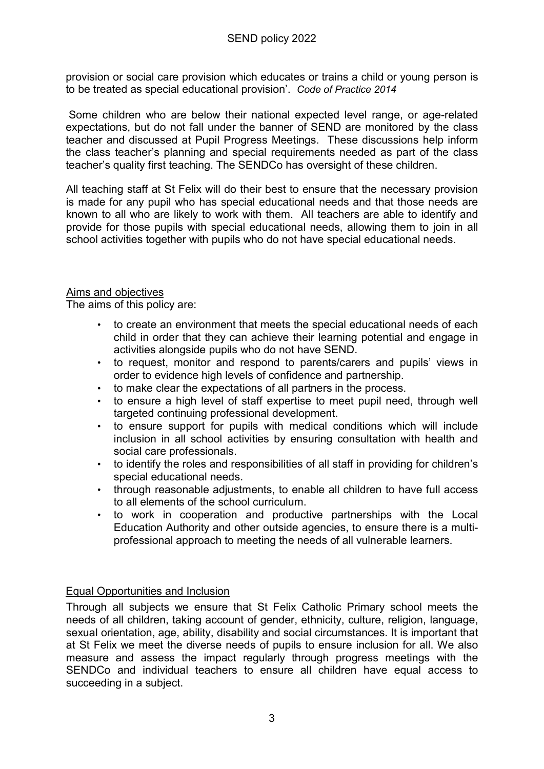provision or social care provision which educates or trains a child or young person is to be treated as special educational provision'. Code of Practice 2014

 Some children who are below their national expected level range, or age-related expectations, but do not fall under the banner of SEND are monitored by the class teacher and discussed at Pupil Progress Meetings. These discussions help inform the class teacher's planning and special requirements needed as part of the class teacher's quality first teaching. The SENDCo has oversight of these children.

All teaching staff at St Felix will do their best to ensure that the necessary provision is made for any pupil who has special educational needs and that those needs are known to all who are likely to work with them. All teachers are able to identify and provide for those pupils with special educational needs, allowing them to join in all school activities together with pupils who do not have special educational needs.

## **Aims and objectives**

The aims of this policy are:

- to create an environment that meets the special educational needs of each child in order that they can achieve their learning potential and engage in activities alongside pupils who do not have SEND.
- to request, monitor and respond to parents/carers and pupils' views in order to evidence high levels of confidence and partnership.
- to make clear the expectations of all partners in the process.
- to ensure a high level of staff expertise to meet pupil need, through well targeted continuing professional development.
- to ensure support for pupils with medical conditions which will include inclusion in all school activities by ensuring consultation with health and social care professionals.
- to identify the roles and responsibilities of all staff in providing for children's special educational needs.
- through reasonable adjustments, to enable all children to have full access to all elements of the school curriculum.
- to work in cooperation and productive partnerships with the Local Education Authority and other outside agencies, to ensure there is a multiprofessional approach to meeting the needs of all vulnerable learners.

# Equal Opportunities and Inclusion

Through all subjects we ensure that St Felix Catholic Primary school meets the needs of all children, taking account of gender, ethnicity, culture, religion, language, sexual orientation, age, ability, disability and social circumstances. It is important that at St Felix we meet the diverse needs of pupils to ensure inclusion for all. We also measure and assess the impact regularly through progress meetings with the SENDCo and individual teachers to ensure all children have equal access to succeeding in a subject.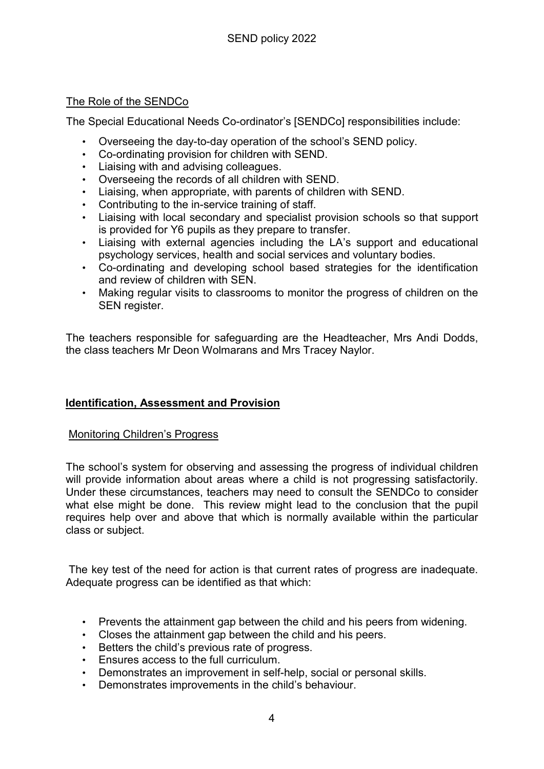## The Role of the SENDCo

The Special Educational Needs Co-ordinator's [SENDCo] responsibilities include:

- Overseeing the day-to-day operation of the school's SEND policy.
- Co-ordinating provision for children with SEND.
- Liaising with and advising colleagues.
- Overseeing the records of all children with SEND.
- Liaising, when appropriate, with parents of children with SEND.
- Contributing to the in-service training of staff.
- Liaising with local secondary and specialist provision schools so that support is provided for Y6 pupils as they prepare to transfer.
- Liaising with external agencies including the LA's support and educational psychology services, health and social services and voluntary bodies.
- Co-ordinating and developing school based strategies for the identification and review of children with SEN.
- Making regular visits to classrooms to monitor the progress of children on the SEN register.

The teachers responsible for safeguarding are the Headteacher, Mrs Andi Dodds, the class teachers Mr Deon Wolmarans and Mrs Tracey Naylor.

# Identification, Assessment and Provision

#### Monitoring Children's Progress

The school's system for observing and assessing the progress of individual children will provide information about areas where a child is not progressing satisfactorily. Under these circumstances, teachers may need to consult the SENDCo to consider what else might be done. This review might lead to the conclusion that the pupil requires help over and above that which is normally available within the particular class or subject.

 The key test of the need for action is that current rates of progress are inadequate. Adequate progress can be identified as that which:

- Prevents the attainment gap between the child and his peers from widening.
- Closes the attainment gap between the child and his peers.
- Betters the child's previous rate of progress.
- Ensures access to the full curriculum.
- Demonstrates an improvement in self-help, social or personal skills.
- Demonstrates improvements in the child's behaviour.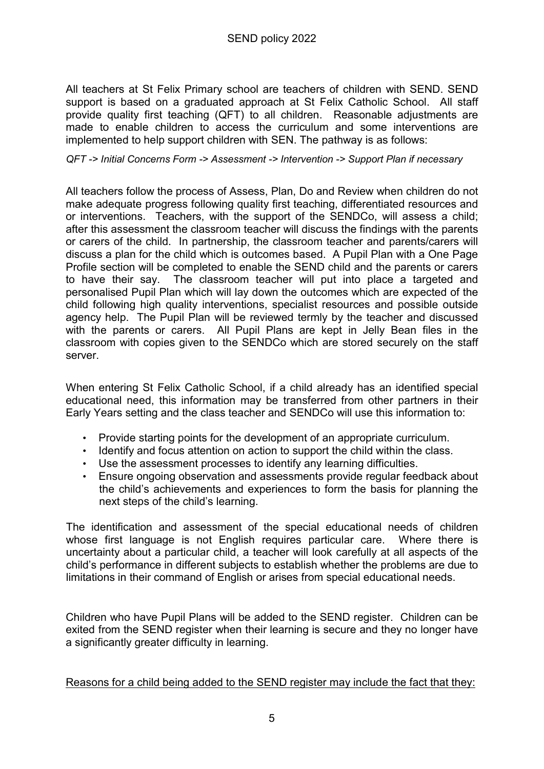All teachers at St Felix Primary school are teachers of children with SEND. SEND support is based on a graduated approach at St Felix Catholic School. All staff provide quality first teaching (QFT) to all children. Reasonable adjustments are made to enable children to access the curriculum and some interventions are implemented to help support children with SEN. The pathway is as follows:

#### QFT -> Initial Concerns Form -> Assessment -> Intervention -> Support Plan if necessary

All teachers follow the process of Assess, Plan, Do and Review when children do not make adequate progress following quality first teaching, differentiated resources and or interventions. Teachers, with the support of the SENDCo, will assess a child; after this assessment the classroom teacher will discuss the findings with the parents or carers of the child. In partnership, the classroom teacher and parents/carers will discuss a plan for the child which is outcomes based. A Pupil Plan with a One Page Profile section will be completed to enable the SEND child and the parents or carers to have their say. The classroom teacher will put into place a targeted and personalised Pupil Plan which will lay down the outcomes which are expected of the child following high quality interventions, specialist resources and possible outside agency help. The Pupil Plan will be reviewed termly by the teacher and discussed with the parents or carers. All Pupil Plans are kept in Jelly Bean files in the classroom with copies given to the SENDCo which are stored securely on the staff server.

When entering St Felix Catholic School, if a child already has an identified special educational need, this information may be transferred from other partners in their Early Years setting and the class teacher and SENDCo will use this information to:

- Provide starting points for the development of an appropriate curriculum.
- Identify and focus attention on action to support the child within the class.
- Use the assessment processes to identify any learning difficulties.
- Ensure ongoing observation and assessments provide regular feedback about the child's achievements and experiences to form the basis for planning the next steps of the child's learning.

The identification and assessment of the special educational needs of children whose first language is not English requires particular care. Where there is uncertainty about a particular child, a teacher will look carefully at all aspects of the child's performance in different subjects to establish whether the problems are due to limitations in their command of English or arises from special educational needs.

Children who have Pupil Plans will be added to the SEND register. Children can be exited from the SEND register when their learning is secure and they no longer have a significantly greater difficulty in learning.

#### Reasons for a child being added to the SEND register may include the fact that they: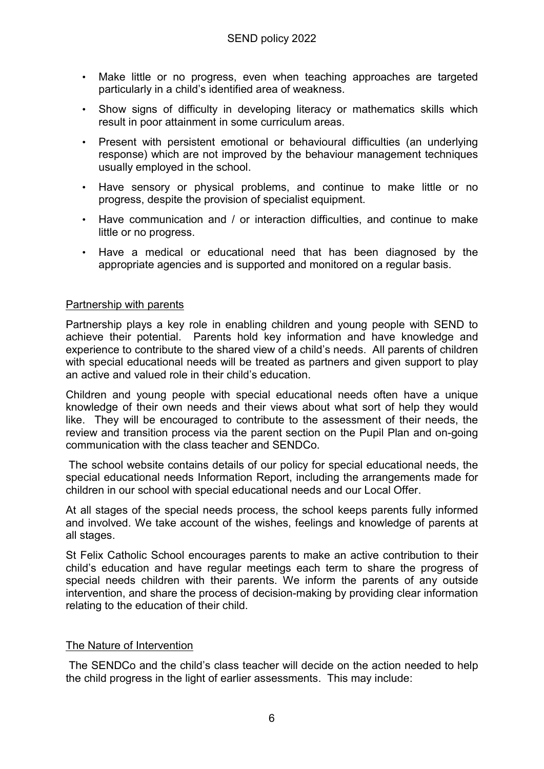- Make little or no progress, even when teaching approaches are targeted particularly in a child's identified area of weakness.
- Show signs of difficulty in developing literacy or mathematics skills which result in poor attainment in some curriculum areas.
- Present with persistent emotional or behavioural difficulties (an underlying response) which are not improved by the behaviour management techniques usually employed in the school.
- Have sensory or physical problems, and continue to make little or no progress, despite the provision of specialist equipment.
- Have communication and / or interaction difficulties, and continue to make little or no progress.
- Have a medical or educational need that has been diagnosed by the appropriate agencies and is supported and monitored on a regular basis.

## Partnership with parents

Partnership plays a key role in enabling children and young people with SEND to achieve their potential. Parents hold key information and have knowledge and experience to contribute to the shared view of a child's needs. All parents of children with special educational needs will be treated as partners and given support to play an active and valued role in their child's education.

Children and young people with special educational needs often have a unique knowledge of their own needs and their views about what sort of help they would like. They will be encouraged to contribute to the assessment of their needs, the review and transition process via the parent section on the Pupil Plan and on-going communication with the class teacher and SENDCo.

 The school website contains details of our policy for special educational needs, the special educational needs Information Report, including the arrangements made for children in our school with special educational needs and our Local Offer.

At all stages of the special needs process, the school keeps parents fully informed and involved. We take account of the wishes, feelings and knowledge of parents at all stages.

St Felix Catholic School encourages parents to make an active contribution to their child's education and have regular meetings each term to share the progress of special needs children with their parents. We inform the parents of any outside intervention, and share the process of decision-making by providing clear information relating to the education of their child.

#### The Nature of Intervention

The SENDCo and the child's class teacher will decide on the action needed to help the child progress in the light of earlier assessments. This may include: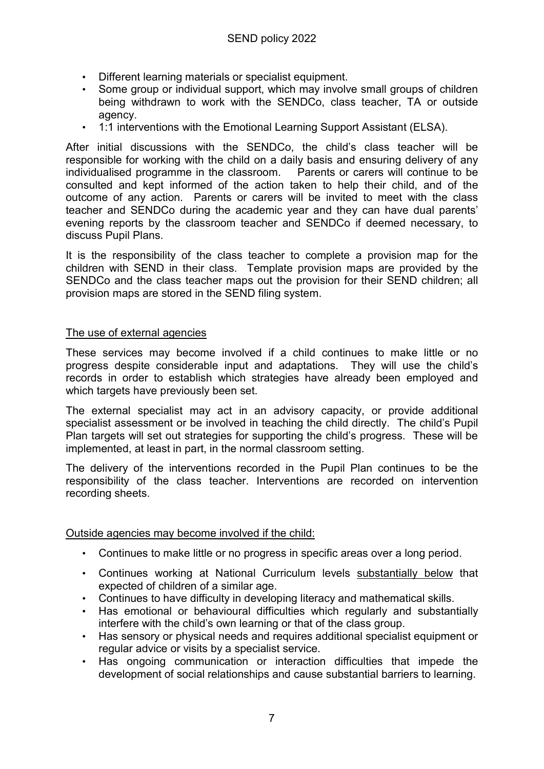- Different learning materials or specialist equipment.
- Some group or individual support, which may involve small groups of children being withdrawn to work with the SENDCo, class teacher, TA or outside agency.
- 1:1 interventions with the Emotional Learning Support Assistant (ELSA).

After initial discussions with the SENDCo, the child's class teacher will be responsible for working with the child on a daily basis and ensuring delivery of any individualised programme in the classroom. Parents or carers will continue to be consulted and kept informed of the action taken to help their child, and of the outcome of any action. Parents or carers will be invited to meet with the class teacher and SENDCo during the academic year and they can have dual parents' evening reports by the classroom teacher and SENDCo if deemed necessary, to discuss Pupil Plans.

It is the responsibility of the class teacher to complete a provision map for the children with SEND in their class. Template provision maps are provided by the SENDCo and the class teacher maps out the provision for their SEND children; all provision maps are stored in the SEND filing system.

#### The use of external agencies

These services may become involved if a child continues to make little or no progress despite considerable input and adaptations. They will use the child's records in order to establish which strategies have already been employed and which targets have previously been set.

The external specialist may act in an advisory capacity, or provide additional specialist assessment or be involved in teaching the child directly. The child's Pupil Plan targets will set out strategies for supporting the child's progress. These will be implemented, at least in part, in the normal classroom setting.

The delivery of the interventions recorded in the Pupil Plan continues to be the responsibility of the class teacher. Interventions are recorded on intervention recording sheets.

Outside agencies may become involved if the child:

- Continues to make little or no progress in specific areas over a long period.
- Continues working at National Curriculum levels substantially below that expected of children of a similar age.
- Continues to have difficulty in developing literacy and mathematical skills.
- Has emotional or behavioural difficulties which regularly and substantially interfere with the child's own learning or that of the class group.
- Has sensory or physical needs and requires additional specialist equipment or regular advice or visits by a specialist service.
- Has ongoing communication or interaction difficulties that impede the development of social relationships and cause substantial barriers to learning.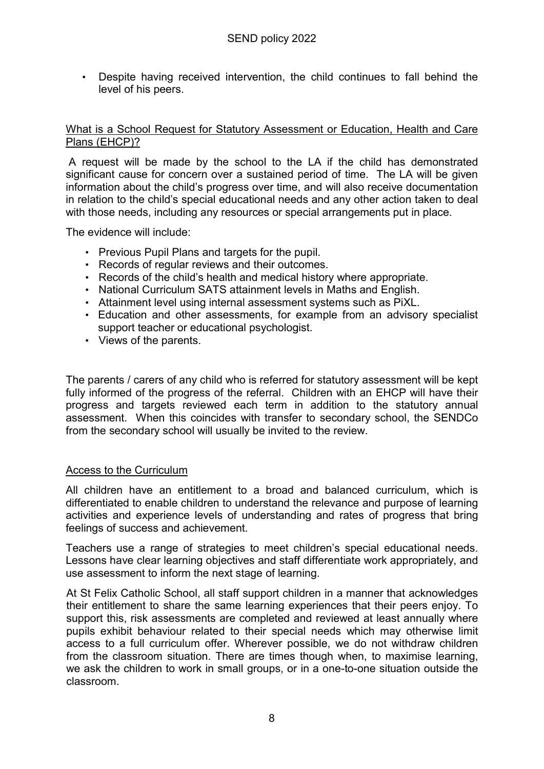• Despite having received intervention, the child continues to fall behind the level of his peers.

## What is a School Request for Statutory Assessment or Education, Health and Care Plans (EHCP)?

 A request will be made by the school to the LA if the child has demonstrated significant cause for concern over a sustained period of time. The LA will be given information about the child's progress over time, and will also receive documentation in relation to the child's special educational needs and any other action taken to deal with those needs, including any resources or special arrangements put in place.

The evidence will include:

- Previous Pupil Plans and targets for the pupil.
- Records of regular reviews and their outcomes.
- Records of the child's health and medical history where appropriate.
- National Curriculum SATS attainment levels in Maths and English.
- Attainment level using internal assessment systems such as PiXL.
- Education and other assessments, for example from an advisory specialist support teacher or educational psychologist.
- Views of the parents.

The parents / carers of any child who is referred for statutory assessment will be kept fully informed of the progress of the referral. Children with an EHCP will have their progress and targets reviewed each term in addition to the statutory annual assessment. When this coincides with transfer to secondary school, the SENDCo from the secondary school will usually be invited to the review.

#### Access to the Curriculum

All children have an entitlement to a broad and balanced curriculum, which is differentiated to enable children to understand the relevance and purpose of learning activities and experience levels of understanding and rates of progress that bring feelings of success and achievement.

Teachers use a range of strategies to meet children's special educational needs. Lessons have clear learning objectives and staff differentiate work appropriately, and use assessment to inform the next stage of learning.

At St Felix Catholic School, all staff support children in a manner that acknowledges their entitlement to share the same learning experiences that their peers enjoy. To support this, risk assessments are completed and reviewed at least annually where pupils exhibit behaviour related to their special needs which may otherwise limit access to a full curriculum offer. Wherever possible, we do not withdraw children from the classroom situation. There are times though when, to maximise learning, we ask the children to work in small groups, or in a one-to-one situation outside the classroom.